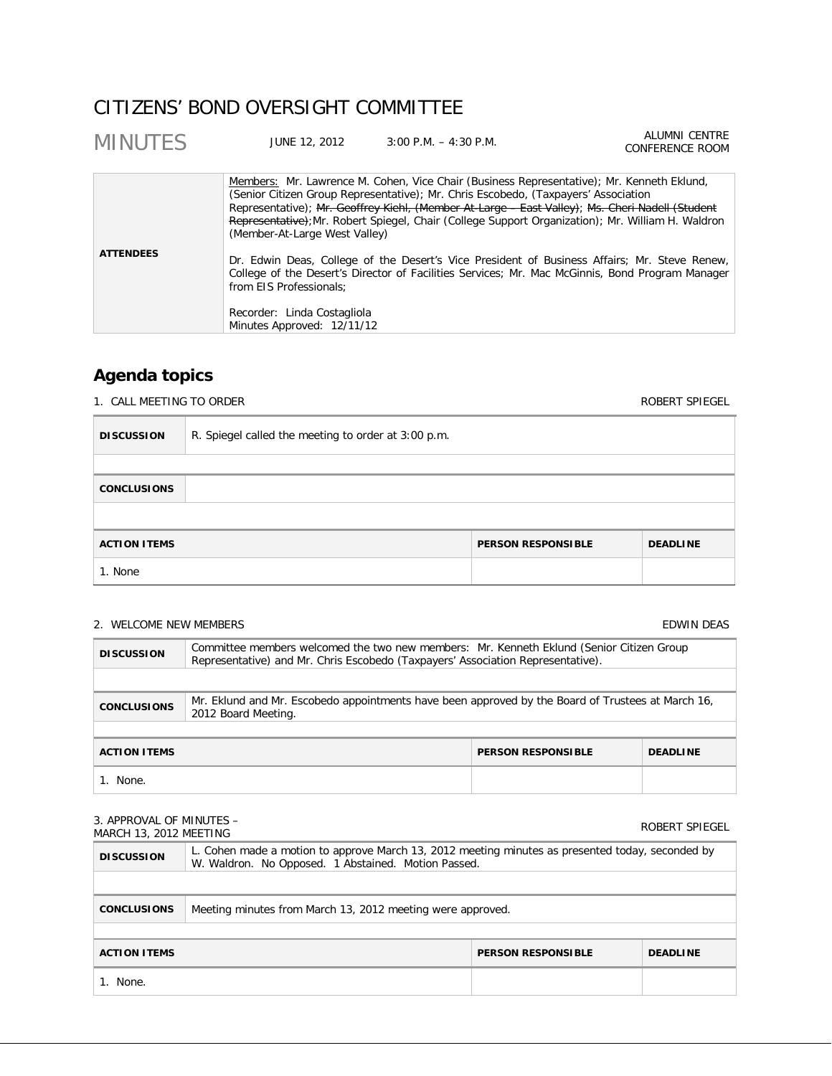# CITIZENS' BOND OVERSIGHT COMMITTEE

| <b>MINUTES</b>   | JUNE 12, 2012                                             | $3:00$ P.M. $-4:30$ P.M.                                                                                                                                                                                                                                                                                                                                                                | <b>ALUMNI CENTRE</b><br>CONFERENCE ROOM |
|------------------|-----------------------------------------------------------|-----------------------------------------------------------------------------------------------------------------------------------------------------------------------------------------------------------------------------------------------------------------------------------------------------------------------------------------------------------------------------------------|-----------------------------------------|
|                  | (Member-At-Large West Valley)                             | Members: Mr. Lawrence M. Cohen, Vice Chair (Business Representative); Mr. Kenneth Eklund,<br>(Senior Citizen Group Representative); Mr. Chris Escobedo, (Taxpayers' Association<br>Representative); Mr. Geoffrey Kiehl, (Member At-Large - East Valley); Ms. Cheri Nadell (Student<br>Representative); Mr. Robert Spiegel, Chair (College Support Organization); Mr. William H. Waldron |                                         |
| <b>ATTENDEES</b> | from EIS Professionals:                                   | Dr. Edwin Deas, College of the Desert's Vice President of Business Affairs; Mr. Steve Renew,<br>College of the Desert's Director of Facilities Services; Mr. Mac McGinnis, Bond Program Manager                                                                                                                                                                                         |                                         |
|                  | Recorder: Linda Costagliola<br>Minutes Approved: 12/11/12 |                                                                                                                                                                                                                                                                                                                                                                                         |                                         |

# **Agenda topics**

Е

1. CALL MEETING TO ORDER ROBERT SPIEGEL

| <b>DISCUSSION</b>   | R. Spiegel called the meeting to order at 3:00 p.m. |                           |                 |
|---------------------|-----------------------------------------------------|---------------------------|-----------------|
|                     |                                                     |                           |                 |
| <b>CONCLUSIONS</b>  |                                                     |                           |                 |
|                     |                                                     |                           |                 |
| <b>ACTION ITEMS</b> |                                                     | <b>PERSON RESPONSIBLE</b> | <b>DEADLINE</b> |
| 1. None             |                                                     |                           |                 |

# 2. WELCOME NEW MEMBERS **EDWIN DEAS EDWIN DEAS**

| <b>DISCUSSION</b>                                                   | Committee members welcomed the two new members: Mr. Kenneth Eklund (Senior Citizen Group<br>Representative) and Mr. Chris Escobedo (Taxpayers' Association Representative). |  |  |  |
|---------------------------------------------------------------------|-----------------------------------------------------------------------------------------------------------------------------------------------------------------------------|--|--|--|
|                                                                     |                                                                                                                                                                             |  |  |  |
| <b>CONCLUSIONS</b>                                                  | Mr. Eklund and Mr. Escobedo appointments have been approved by the Board of Trustees at March 16,<br>2012 Board Meeting.                                                    |  |  |  |
|                                                                     |                                                                                                                                                                             |  |  |  |
| <b>ACTION ITEMS</b><br><b>PERSON RESPONSIBLE</b><br><b>DEADLINE</b> |                                                                                                                                                                             |  |  |  |
| None.                                                               |                                                                                                                                                                             |  |  |  |

| 3. APPROVAL OF MINUTES -<br>MARCH 13, 2012 MEETING                  |                                                                                                                                                         |  | ROBERT SPIEGEL |  |
|---------------------------------------------------------------------|---------------------------------------------------------------------------------------------------------------------------------------------------------|--|----------------|--|
| <b>DISCUSSION</b>                                                   | L. Cohen made a motion to approve March 13, 2012 meeting minutes as presented today, seconded by<br>W. Waldron. No Opposed. 1 Abstained. Motion Passed. |  |                |  |
|                                                                     |                                                                                                                                                         |  |                |  |
| <b>CONCLUSIONS</b>                                                  | Meeting minutes from March 13, 2012 meeting were approved.                                                                                              |  |                |  |
|                                                                     |                                                                                                                                                         |  |                |  |
| <b>ACTION ITEMS</b><br><b>PERSON RESPONSIBLE</b><br><b>DEADLINE</b> |                                                                                                                                                         |  |                |  |
| 1. None.                                                            |                                                                                                                                                         |  |                |  |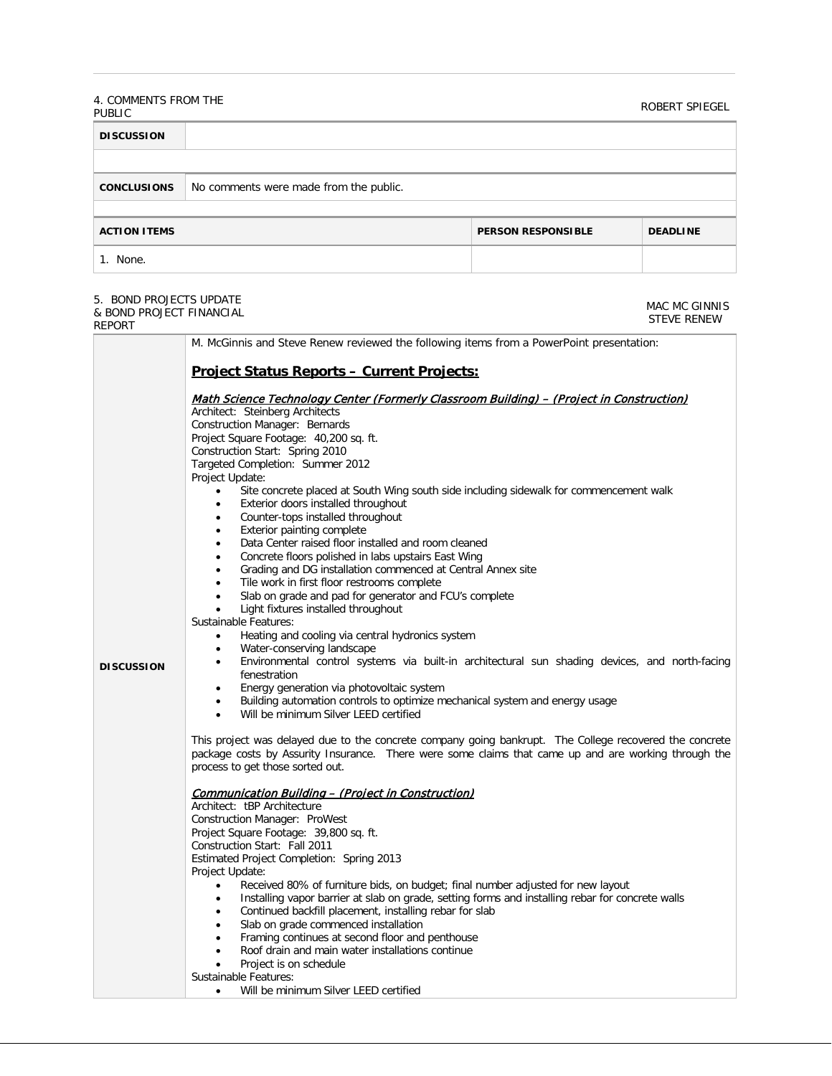#### 4. COMMENTS FROM THE PUBLIC ROBERT SPIEGEL<br>PUBLIC

MAC MC GINNIS

| <b>DISCUSSION</b>   |                                        |                           |                 |
|---------------------|----------------------------------------|---------------------------|-----------------|
|                     |                                        |                           |                 |
| <b>CONCLUSIONS</b>  | No comments were made from the public. |                           |                 |
|                     |                                        |                           |                 |
| <b>ACTION ITEMS</b> |                                        | <b>PERSON RESPONSIBLE</b> | <b>DEADLINE</b> |
| None.               |                                        |                           |                 |

# 5. BOND PROJECTS UPDATE

| & BOND PROJECT FINANCIAL<br><b>REPORT</b> |                                                                                                                                                                                                                                                                                                                                                                                                                                                                                                                                                                                                                                                                                                                                                                                                                                                                                                                                                                                                                                                                                                                                                                                                                                                                                                                                                                                                                                                                                                                                                                                                                                                                                                                                                                                                                                                                                                     | <b>STEVE RENEW</b>  |
|-------------------------------------------|-----------------------------------------------------------------------------------------------------------------------------------------------------------------------------------------------------------------------------------------------------------------------------------------------------------------------------------------------------------------------------------------------------------------------------------------------------------------------------------------------------------------------------------------------------------------------------------------------------------------------------------------------------------------------------------------------------------------------------------------------------------------------------------------------------------------------------------------------------------------------------------------------------------------------------------------------------------------------------------------------------------------------------------------------------------------------------------------------------------------------------------------------------------------------------------------------------------------------------------------------------------------------------------------------------------------------------------------------------------------------------------------------------------------------------------------------------------------------------------------------------------------------------------------------------------------------------------------------------------------------------------------------------------------------------------------------------------------------------------------------------------------------------------------------------------------------------------------------------------------------------------------------------|---------------------|
|                                           | M. McGinnis and Steve Renew reviewed the following items from a PowerPoint presentation:                                                                                                                                                                                                                                                                                                                                                                                                                                                                                                                                                                                                                                                                                                                                                                                                                                                                                                                                                                                                                                                                                                                                                                                                                                                                                                                                                                                                                                                                                                                                                                                                                                                                                                                                                                                                            |                     |
| <b>DISCUSSION</b>                         | <b>Project Status Reports - Current Projects:</b><br>Math Science Technology Center (Formerly Classroom Building) – (Project in Construction)<br>Architect: Steinberg Architects<br>Construction Manager: Bernards<br>Project Square Footage: 40,200 sq. ft.<br>Construction Start: Spring 2010<br>Targeted Completion: Summer 2012<br>Project Update:<br>Site concrete placed at South Wing south side including sidewalk for commencement walk<br>$\bullet$<br>Exterior doors installed throughout<br>$\bullet$<br>Counter-tops installed throughout<br>٠<br>Exterior painting complete<br>$\bullet$<br>Data Center raised floor installed and room cleaned<br>Concrete floors polished in labs upstairs East Wing<br>Grading and DG installation commenced at Central Annex site<br>Tile work in first floor restrooms complete<br>Slab on grade and pad for generator and FCU's complete<br>Light fixtures installed throughout<br>Sustainable Features:<br>Heating and cooling via central hydronics system<br>$\bullet$<br>Water-conserving landscape<br>٠<br>Environmental control systems via built-in architectural sun shading devices, and north-facing<br>$\bullet$<br>fenestration<br>Energy generation via photovoltaic system<br>Building automation controls to optimize mechanical system and energy usage<br>Will be minimum Silver LEED certified<br>This project was delayed due to the concrete company going bankrupt. The College recovered the concrete<br>package costs by Assurity Insurance. There were some claims that came up and are working through the<br>process to get those sorted out.<br><b>Communication Building - (Project in Construction)</b><br>Architect: tBP Architecture<br>Construction Manager: ProWest<br>Project Square Footage: 39,800 sq. ft.<br>Construction Start: Fall 2011<br>Estimated Project Completion: Spring 2013<br>Project Update: | טוויווט טוויו טחויו |
|                                           | Received 80% of furniture bids, on budget; final number adjusted for new layout<br>$\bullet$                                                                                                                                                                                                                                                                                                                                                                                                                                                                                                                                                                                                                                                                                                                                                                                                                                                                                                                                                                                                                                                                                                                                                                                                                                                                                                                                                                                                                                                                                                                                                                                                                                                                                                                                                                                                        |                     |
|                                           | Installing vapor barrier at slab on grade, setting forms and installing rebar for concrete walls<br>$\bullet$<br>Continued backfill placement, installing rebar for slab<br>٠<br>Slab on grade commenced installation<br>٠<br>Framing continues at second floor and penthouse<br>Roof drain and main water installations continue<br>Project is on schedule<br>Sustainable Features:<br>Will be minimum Silver LEED certified<br>$\bullet$                                                                                                                                                                                                                                                                                                                                                                                                                                                                                                                                                                                                                                                                                                                                                                                                                                                                                                                                                                                                                                                                                                                                                                                                                                                                                                                                                                                                                                                          |                     |
|                                           |                                                                                                                                                                                                                                                                                                                                                                                                                                                                                                                                                                                                                                                                                                                                                                                                                                                                                                                                                                                                                                                                                                                                                                                                                                                                                                                                                                                                                                                                                                                                                                                                                                                                                                                                                                                                                                                                                                     |                     |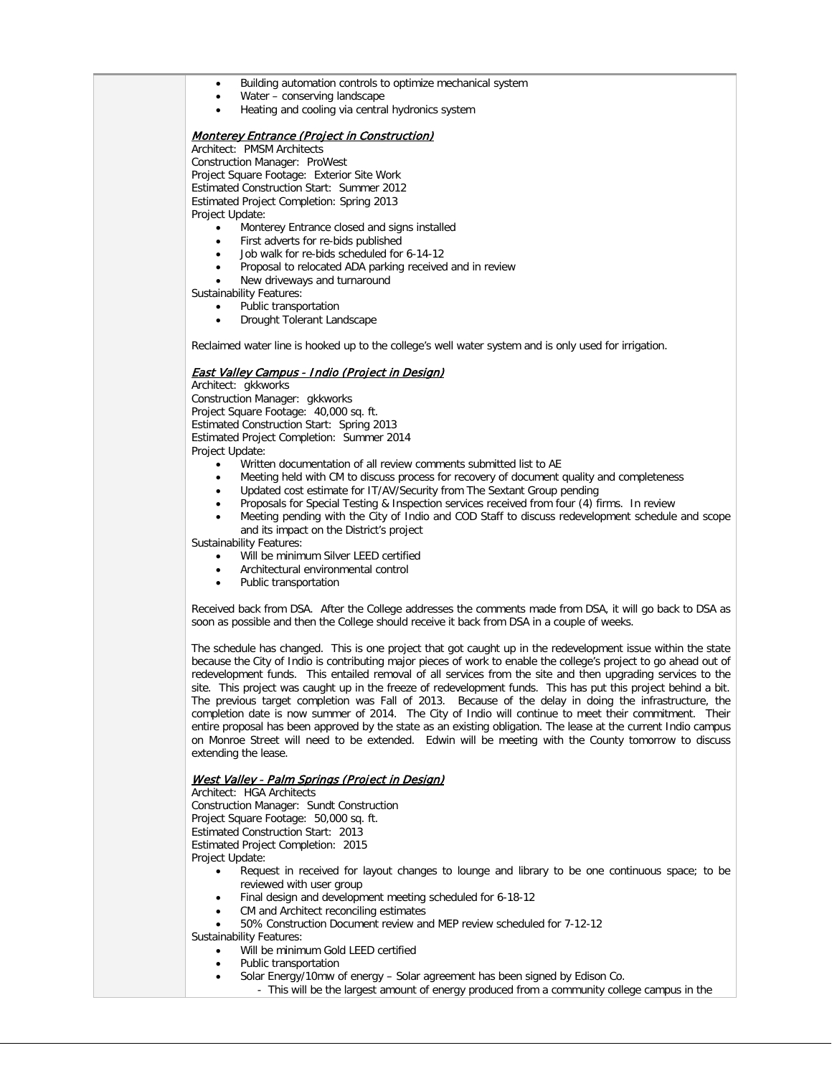- Building automation controls to optimize mechanical system
- Water conserving landscape
- Heating and cooling via central hydronics system

#### Monterey Entrance (Project in Construction)

Architect: PMSM Architects Construction Manager: ProWest Project Square Footage: Exterior Site Work Estimated Construction Start: Summer 2012 Estimated Project Completion: Spring 2013 Project Update:

- Monterey Entrance closed and signs installed
- First adverts for re-bids published
- Job walk for re-bids scheduled for 6-14-12
- Proposal to relocated ADA parking received and in review
- New driveways and turnaround

Sustainability Features:

- Public transportation
- Drought Tolerant Landscape

Reclaimed water line is hooked up to the college's well water system and is only used for irrigation.

### East Valley Campus - Indio (Project in Design)

Architect: gkkworks Construction Manager: gkkworks Project Square Footage: 40,000 sq. ft. Estimated Construction Start: Spring 2013 Estimated Project Completion: Summer 2014 Project Update:

- Written documentation of all review comments submitted list to AE
- Meeting held with CM to discuss process for recovery of document quality and completeness
- Updated cost estimate for IT/AV/Security from The Sextant Group pending
- Proposals for Special Testing & Inspection services received from four (4) firms. In review
- Meeting pending with the City of Indio and COD Staff to discuss redevelopment schedule and scope and its impact on the District's project

Sustainability Features:

- Will be minimum Silver LEED certified
- Architectural environmental control
- Public transportation

Received back from DSA. After the College addresses the comments made from DSA, it will go back to DSA as soon as possible and then the College should receive it back from DSA in a couple of weeks.

The schedule has changed. This is one project that got caught up in the redevelopment issue within the state because the City of Indio is contributing major pieces of work to enable the college's project to go ahead out of redevelopment funds. This entailed removal of all services from the site and then upgrading services to the site. This project was caught up in the freeze of redevelopment funds. This has put this project behind a bit. The previous target completion was Fall of 2013. Because of the delay in doing the infrastructure, the completion date is now summer of 2014. The City of Indio will continue to meet their commitment. Their entire proposal has been approved by the state as an existing obligation. The lease at the current Indio campus on Monroe Street will need to be extended. Edwin will be meeting with the County tomorrow to discuss extending the lease.

#### West Valley - Palm Springs (Project in Design)

Architect: HGA Architects Construction Manager: Sundt Construction Project Square Footage: 50,000 sq. ft. Estimated Construction Start: 2013 Estimated Project Completion: 2015 Project Update:

- Request in received for layout changes to lounge and library to be one continuous space; to be reviewed with user group
- Final design and development meeting scheduled for 6-18-12
- CM and Architect reconciling estimates
- 50% Construction Document review and MEP review scheduled for 7-12-12
- Sustainability Features:
	- Will be minimum Gold LEED certified
	- Public transportation
	- Solar Energy/10mw of energy Solar agreement has been signed by Edison Co.
		- This will be the largest amount of energy produced from a community college campus in the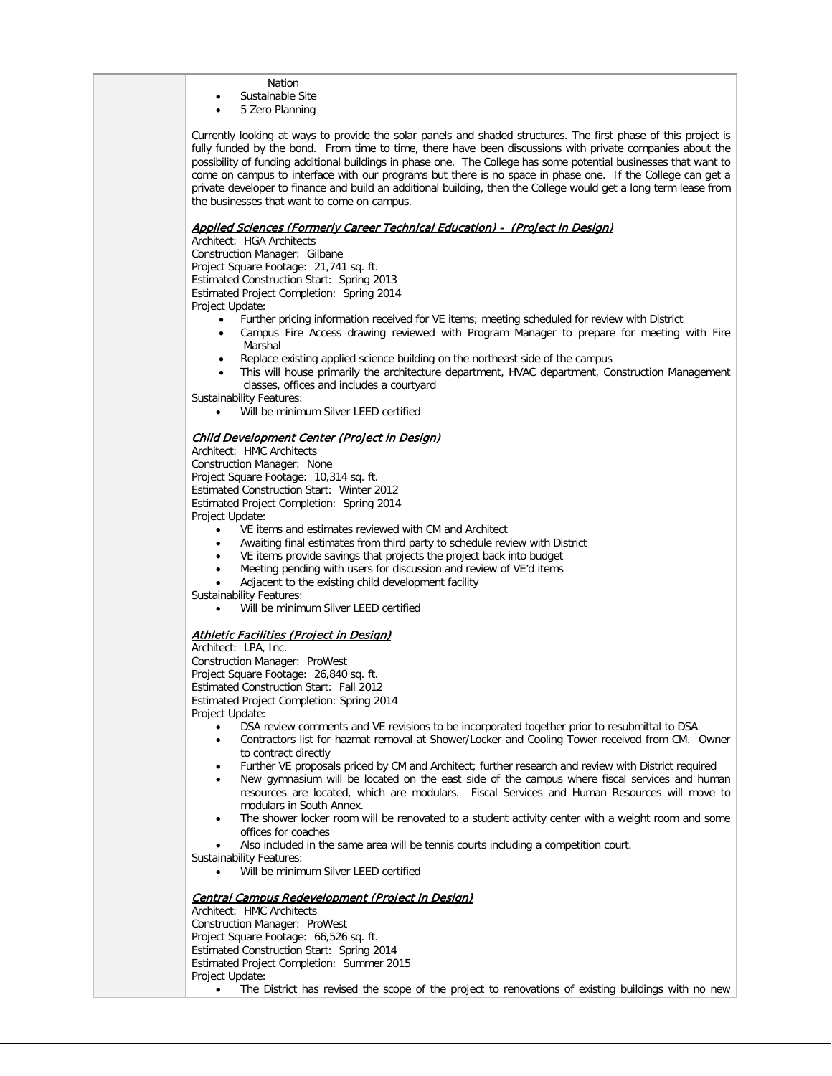- Nation
- Sustainable Site
- 5 Zero Planning

Currently looking at ways to provide the solar panels and shaded structures. The first phase of this project is fully funded by the bond. From time to time, there have been discussions with private companies about the possibility of funding additional buildings in phase one. The College has some potential businesses that want to come on campus to interface with our programs but there is no space in phase one. If the College can get a private developer to finance and build an additional building, then the College would get a long term lease from the businesses that want to come on campus.

### Applied Sciences (Formerly Career Technical Education) - (Project in Design)

Architect: HGA Architects Construction Manager: Gilbane Project Square Footage: 21,741 sq. ft. Estimated Construction Start: Spring 2013 Estimated Project Completion: Spring 2014 Project Update:

- Further pricing information received for VE items; meeting scheduled for review with District
	- Campus Fire Access drawing reviewed with Program Manager to prepare for meeting with Fire Marshal
- Replace existing applied science building on the northeast side of the campus
- This will house primarily the architecture department, HVAC department, Construction Management classes, offices and includes a courtyard

Sustainability Features:

Will be minimum Silver LEED certified

## Child Development Center (Project in Design)

Architect: HMC Architects Construction Manager: None Project Square Footage: 10,314 sq. ft. Estimated Construction Start: Winter 2012 Estimated Project Completion: Spring 2014 Project Update:

- VE items and estimates reviewed with CM and Architect
- Awaiting final estimates from third party to schedule review with District
- VE items provide savings that projects the project back into budget
- Meeting pending with users for discussion and review of VE'd items
- Adjacent to the existing child development facility

Sustainability Features:

Will be minimum Silver LEED certified

### **Athletic Facilities (Project in Design)**

Architect: LPA, Inc. Construction Manager: ProWest Project Square Footage: 26,840 sq. ft. Estimated Construction Start: Fall 2012 Estimated Project Completion: Spring 2014 Project Update:

- DSA review comments and VE revisions to be incorporated together prior to resubmittal to DSA
- Contractors list for hazmat removal at Shower/Locker and Cooling Tower received from CM. Owner to contract directly
- Further VE proposals priced by CM and Architect; further research and review with District required
- New gymnasium will be located on the east side of the campus where fiscal services and human resources are located, which are modulars. Fiscal Services and Human Resources will move to modulars in South Annex.
- The shower locker room will be renovated to a student activity center with a weight room and some offices for coaches
- Also included in the same area will be tennis courts including a competition court.

Sustainability Features:

• Will be minimum Silver LEED certified

#### Central Campus Redevelopment (Project in Design) Architect: HMC Architects Construction Manager: ProWest Project Square Footage: 66,526 sq. ft. Estimated Construction Start: Spring 2014 Estimated Project Completion: Summer 2015 Project Update:

• The District has revised the scope of the project to renovations of existing buildings with no new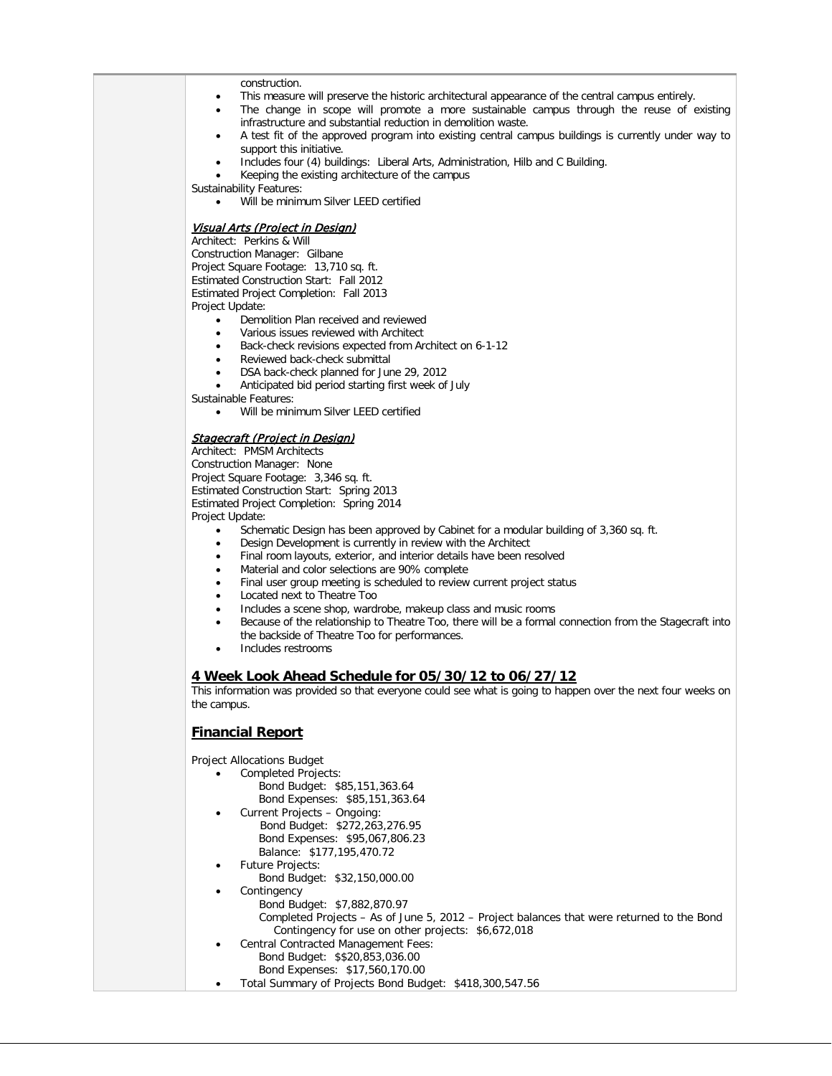construction.

- This measure will preserve the historic architectural appearance of the central campus entirely.
- The change in scope will promote a more sustainable campus through the reuse of existing infrastructure and substantial reduction in demolition waste.
- A test fit of the approved program into existing central campus buildings is currently under way to support this initiative.
- Includes four (4) buildings: Liberal Arts, Administration, Hilb and C Building.
- Keeping the existing architecture of the campus

Sustainability Features:

Will be minimum Silver LEED certified

#### Visual Arts (Project in Design)

Architect: Perkins & Will Construction Manager: Gilbane Project Square Footage: 13,710 sq. ft. Estimated Construction Start: Fall 2012 Estimated Project Completion: Fall 2013 Project Update:

- Demolition Plan received and reviewed
- Various issues reviewed with Architect
- Back-check revisions expected from Architect on 6-1-12
- Reviewed back-check submittal
- DSA back-check planned for June 29, 2012

• Anticipated bid period starting first week of July

Sustainable Features:

• Will be minimum Silver LEED certified

# Stagecraft (Project in Design)

Architect: PMSM Architects Construction Manager: None Project Square Footage: 3,346 sq. ft. Estimated Construction Start: Spring 2013 Estimated Project Completion: Spring 2014 Project Update:

- Schematic Design has been approved by Cabinet for a modular building of 3,360 sq. ft.
- Design Development is currently in review with the Architect
- Final room layouts, exterior, and interior details have been resolved
- Material and color selections are 90% complete
- Final user group meeting is scheduled to review current project status
- Located next to Theatre Too
- Includes a scene shop, wardrobe, makeup class and music rooms
- Because of the relationship to Theatre Too, there will be a formal connection from the Stagecraft into the backside of Theatre Too for performances.
- Includes restrooms

#### **4 Week Look Ahead Schedule for 05/30/12 to 06/27/12**

This information was provided so that everyone could see what is going to happen over the next four weeks on the campus.

### **Financial Report**

Project Allocations Budget

- Completed Projects:
	- Bond Budget: \$85,151,363.64 Bond Expenses: \$85,151,363.64
- Current Projects Ongoing: Bond Budget: \$272,263,276.95 Bond Expenses: \$95,067,806.23
- Balance: \$177,195,470.72
- Future Projects:
- Bond Budget: \$32,150,000.00
- **Contingency** 
	- Bond Budget: \$7,882,870.97
		- Completed Projects As of June 5, 2012 Project balances that were returned to the Bond Contingency for use on other projects: \$6,672,018
	- Central Contracted Management Fees:
		- Bond Budget: \$\$20,853,036.00 Bond Expenses: \$17,560,170.00
- Total Summary of Projects Bond Budget: \$418,300,547.56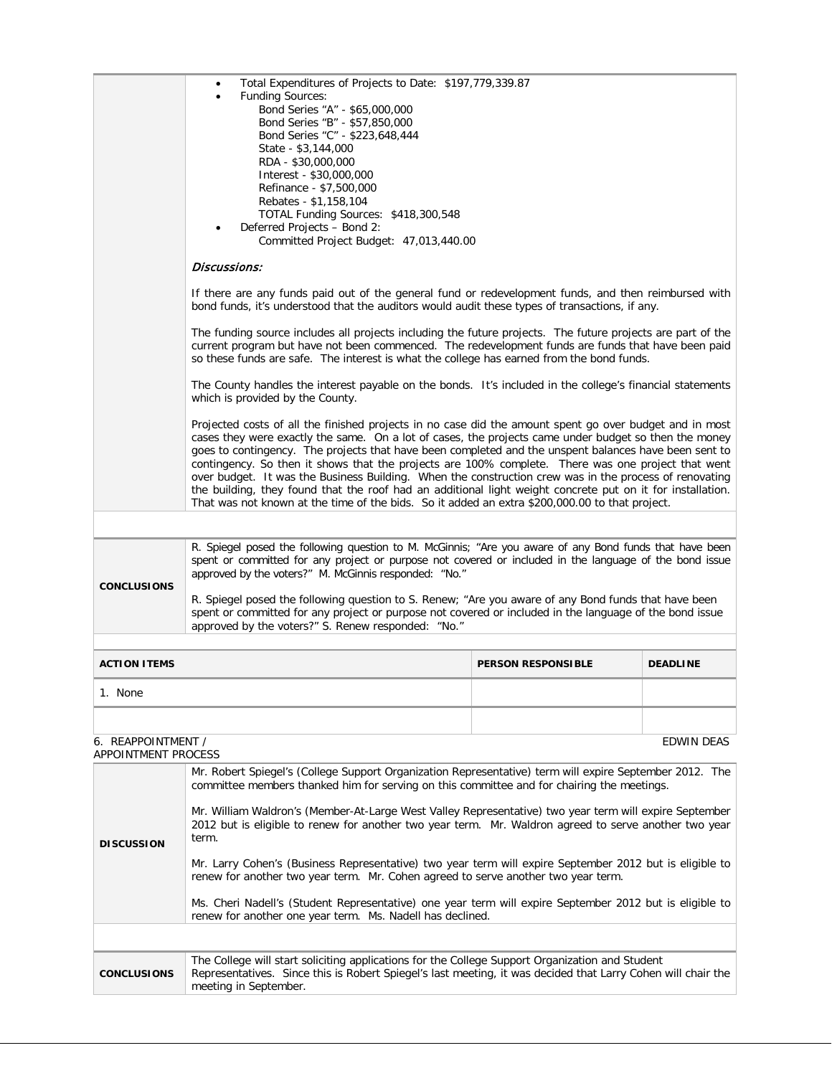|                                                                                                                                                                                                                                                                                                                                                                                                                                                                                                                                                                                                                                                                                                                                                                                                                                | Total Expenditures of Projects to Date: \$197,779,339.87<br><b>Funding Sources:</b><br>Bond Series "A" - \$65,000,000<br>Bond Series "B" - \$57,850,000<br>Bond Series "C" - \$223,648,444<br>State - \$3,144,000<br>RDA - \$30,000,000<br>Interest - \$30,000,000<br>Refinance - \$7,500,000<br>Rebates - \$1,158,104<br>TOTAL Funding Sources: \$418,300,548<br>Deferred Projects - Bond 2:<br>Committed Project Budget: 47,013,440.00<br>Discussions:                                                                                                                                                                                                                                                                                                  |  |  |  |  |
|--------------------------------------------------------------------------------------------------------------------------------------------------------------------------------------------------------------------------------------------------------------------------------------------------------------------------------------------------------------------------------------------------------------------------------------------------------------------------------------------------------------------------------------------------------------------------------------------------------------------------------------------------------------------------------------------------------------------------------------------------------------------------------------------------------------------------------|-----------------------------------------------------------------------------------------------------------------------------------------------------------------------------------------------------------------------------------------------------------------------------------------------------------------------------------------------------------------------------------------------------------------------------------------------------------------------------------------------------------------------------------------------------------------------------------------------------------------------------------------------------------------------------------------------------------------------------------------------------------|--|--|--|--|
|                                                                                                                                                                                                                                                                                                                                                                                                                                                                                                                                                                                                                                                                                                                                                                                                                                | If there are any funds paid out of the general fund or redevelopment funds, and then reimbursed with<br>bond funds, it's understood that the auditors would audit these types of transactions, if any.                                                                                                                                                                                                                                                                                                                                                                                                                                                                                                                                                    |  |  |  |  |
|                                                                                                                                                                                                                                                                                                                                                                                                                                                                                                                                                                                                                                                                                                                                                                                                                                | The funding source includes all projects including the future projects. The future projects are part of the<br>current program but have not been commenced. The redevelopment funds are funds that have been paid<br>so these funds are safe. The interest is what the college has earned from the bond funds.                                                                                                                                                                                                                                                                                                                                                                                                                                            |  |  |  |  |
|                                                                                                                                                                                                                                                                                                                                                                                                                                                                                                                                                                                                                                                                                                                                                                                                                                | The County handles the interest payable on the bonds. It's included in the college's financial statements<br>which is provided by the County.                                                                                                                                                                                                                                                                                                                                                                                                                                                                                                                                                                                                             |  |  |  |  |
|                                                                                                                                                                                                                                                                                                                                                                                                                                                                                                                                                                                                                                                                                                                                                                                                                                | Projected costs of all the finished projects in no case did the amount spent go over budget and in most<br>cases they were exactly the same. On a lot of cases, the projects came under budget so then the money<br>goes to contingency. The projects that have been completed and the unspent balances have been sent to<br>contingency. So then it shows that the projects are 100% complete. There was one project that went<br>over budget. It was the Business Building. When the construction crew was in the process of renovating<br>the building, they found that the roof had an additional light weight concrete put on it for installation.<br>That was not known at the time of the bids. So it added an extra \$200,000.00 to that project. |  |  |  |  |
|                                                                                                                                                                                                                                                                                                                                                                                                                                                                                                                                                                                                                                                                                                                                                                                                                                |                                                                                                                                                                                                                                                                                                                                                                                                                                                                                                                                                                                                                                                                                                                                                           |  |  |  |  |
| <b>CONCLUSIONS</b>                                                                                                                                                                                                                                                                                                                                                                                                                                                                                                                                                                                                                                                                                                                                                                                                             | R. Spiegel posed the following question to M. McGinnis; "Are you aware of any Bond funds that have been<br>spent or committed for any project or purpose not covered or included in the language of the bond issue<br>approved by the voters?" M. McGinnis responded: "No."<br>R. Spiegel posed the following question to S. Renew; "Are you aware of any Bond funds that have been<br>spent or committed for any project or purpose not covered or included in the language of the bond issue<br>approved by the voters?" S. Renew responded: "No."                                                                                                                                                                                                      |  |  |  |  |
| <b>ACTION ITEMS</b>                                                                                                                                                                                                                                                                                                                                                                                                                                                                                                                                                                                                                                                                                                                                                                                                            | <b>PERSON RESPONSIBLE</b><br><b>DEADLINE</b>                                                                                                                                                                                                                                                                                                                                                                                                                                                                                                                                                                                                                                                                                                              |  |  |  |  |
| 1. None                                                                                                                                                                                                                                                                                                                                                                                                                                                                                                                                                                                                                                                                                                                                                                                                                        |                                                                                                                                                                                                                                                                                                                                                                                                                                                                                                                                                                                                                                                                                                                                                           |  |  |  |  |
|                                                                                                                                                                                                                                                                                                                                                                                                                                                                                                                                                                                                                                                                                                                                                                                                                                |                                                                                                                                                                                                                                                                                                                                                                                                                                                                                                                                                                                                                                                                                                                                                           |  |  |  |  |
| 6. REAPPOINTMENT /<br>EDWIN DEAS<br>APPOINTMENT PROCESS                                                                                                                                                                                                                                                                                                                                                                                                                                                                                                                                                                                                                                                                                                                                                                        |                                                                                                                                                                                                                                                                                                                                                                                                                                                                                                                                                                                                                                                                                                                                                           |  |  |  |  |
| Mr. Robert Spiegel's (College Support Organization Representative) term will expire September 2012. The<br>committee members thanked him for serving on this committee and for chairing the meetings.<br>Mr. William Waldron's (Member-At-Large West Valley Representative) two year term will expire September<br>2012 but is eligible to renew for another two year term. Mr. Waldron agreed to serve another two year<br>term.<br><b>DISCUSSION</b><br>Mr. Larry Cohen's (Business Representative) two year term will expire September 2012 but is eligible to<br>renew for another two year term. Mr. Cohen agreed to serve another two year term.<br>Ms. Cheri Nadell's (Student Representative) one year term will expire September 2012 but is eligible to<br>renew for another one year term. Ms. Nadell has declined. |                                                                                                                                                                                                                                                                                                                                                                                                                                                                                                                                                                                                                                                                                                                                                           |  |  |  |  |
|                                                                                                                                                                                                                                                                                                                                                                                                                                                                                                                                                                                                                                                                                                                                                                                                                                |                                                                                                                                                                                                                                                                                                                                                                                                                                                                                                                                                                                                                                                                                                                                                           |  |  |  |  |
| <b>CONCLUSIONS</b>                                                                                                                                                                                                                                                                                                                                                                                                                                                                                                                                                                                                                                                                                                                                                                                                             | The College will start soliciting applications for the College Support Organization and Student<br>Representatives. Since this is Robert Spiegel's last meeting, it was decided that Larry Cohen will chair the<br>meeting in September.                                                                                                                                                                                                                                                                                                                                                                                                                                                                                                                  |  |  |  |  |
|                                                                                                                                                                                                                                                                                                                                                                                                                                                                                                                                                                                                                                                                                                                                                                                                                                |                                                                                                                                                                                                                                                                                                                                                                                                                                                                                                                                                                                                                                                                                                                                                           |  |  |  |  |